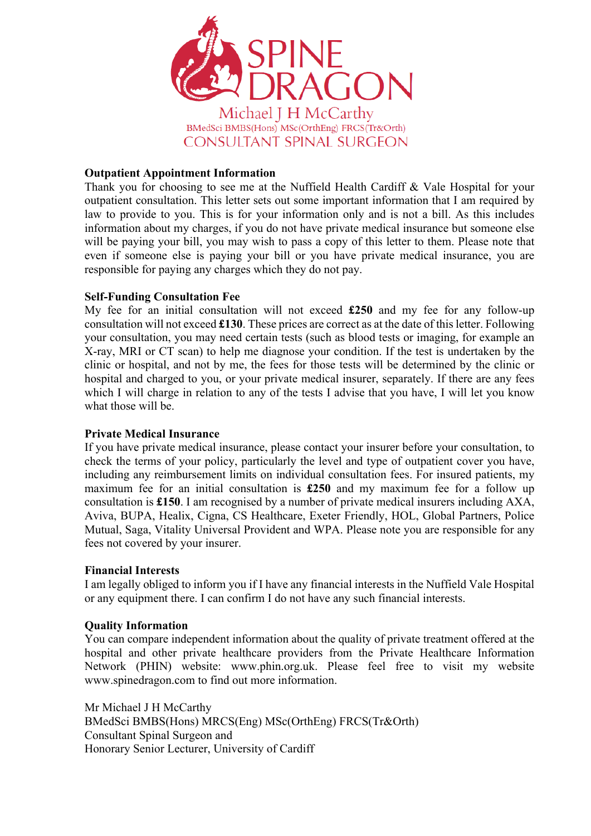

# **Outpatient Appointment Information**

Thank you for choosing to see me at the Nuffield Health Cardiff & Vale Hospital for your outpatient consultation. This letter sets out some important information that I am required by law to provide to you. This is for your information only and is not a bill. As this includes information about my charges, if you do not have private medical insurance but someone else will be paying your bill, you may wish to pass a copy of this letter to them. Please note that even if someone else is paying your bill or you have private medical insurance, you are responsible for paying any charges which they do not pay.

## **Self-Funding Consultation Fee**

My fee for an initial consultation will not exceed **£250** and my fee for any follow-up consultation will not exceed **£130**. These prices are correct as at the date of this letter. Following your consultation, you may need certain tests (such as blood tests or imaging, for example an X-ray, MRI or CT scan) to help me diagnose your condition. If the test is undertaken by the clinic or hospital, and not by me, the fees for those tests will be determined by the clinic or hospital and charged to you, or your private medical insurer, separately. If there are any fees which I will charge in relation to any of the tests I advise that you have, I will let you know what those will be.

## **Private Medical Insurance**

If you have private medical insurance, please contact your insurer before your consultation, to check the terms of your policy, particularly the level and type of outpatient cover you have, including any reimbursement limits on individual consultation fees. For insured patients, my maximum fee for an initial consultation is **£250** and my maximum fee for a follow up consultation is **£150**. I am recognised by a number of private medical insurers including AXA, Aviva, BUPA, Healix, Cigna, CS Healthcare, Exeter Friendly, HOL, Global Partners, Police Mutual, Saga, Vitality Universal Provident and WPA. Please note you are responsible for any fees not covered by your insurer.

## **Financial Interests**

I am legally obliged to inform you if I have any financial interests in the Nuffield Vale Hospital or any equipment there. I can confirm I do not have any such financial interests.

## **Quality Information**

You can compare independent information about the quality of private treatment offered at the hospital and other private healthcare providers from the Private Healthcare Information Network (PHIN) website: www.phin.org.uk. Please feel free to visit my website www.spinedragon.com to find out more information.

Mr Michael J H McCarthy BMedSci BMBS(Hons) MRCS(Eng) MSc(OrthEng) FRCS(Tr&Orth) Consultant Spinal Surgeon and Honorary Senior Lecturer, University of Cardiff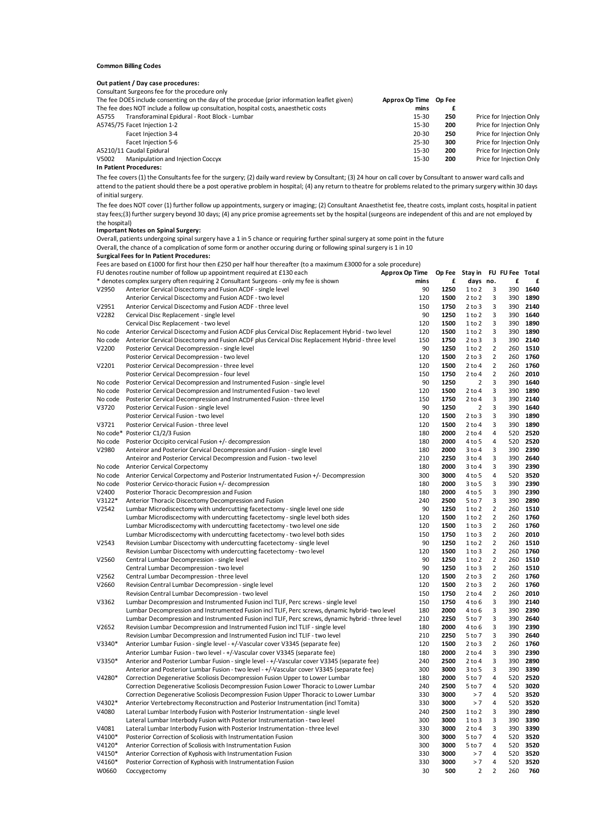#### **Common Billing Codes**

#### **Out patient / Day case procedures:**

|                                                                                              | Consultant Surgeons fee for the procedure only                                       |           |     |                          |
|----------------------------------------------------------------------------------------------|--------------------------------------------------------------------------------------|-----------|-----|--------------------------|
| The fee DOES include consenting on the day of the procedue (prior information leaflet given) |                                                                                      |           |     |                          |
|                                                                                              | The fee does NOT include a follow up consultation, hospital costs, anaesthetic costs | mins      |     |                          |
| A5755                                                                                        | Transforaminal Epidural - Root Block - Lumbar                                        | 15-30     | 250 | Price for Injection Only |
|                                                                                              | A5745/75 Facet Injection 1-2                                                         | 15-30     | 200 | Price for Injection Only |
|                                                                                              | Facet Injection 3-4                                                                  | $20 - 30$ | 250 | Price for Injection Only |
|                                                                                              | Facet Injection 5-6                                                                  | 25-30     | 300 | Price for Injection Only |
|                                                                                              | A5210/11 Caudal Epidural                                                             | 15-30     | 200 | Price for Injection Only |
| V5002                                                                                        | Manipulation and Injection Coccyx                                                    | 15-30     | 200 | Price for Injection Only |

### **In Patient Procedures:**

The fee covers (1) the Consultants fee for the surgery; (2) daily ward review by Consultant; (3) 24 hour on call cover by Consultant to answer ward calls and attend to the patient should there be a post operative problem in hospital; (4) any return to theatre for problems related to the primary surgery within 30 days of initial surgery.

The fee does NOT cover (1) further follow up appointments, surgery or imaging; (2) Consultant Anaesthetist fee, theatre costs, implant costs, hospital in patient stay fees;(3) further surgery beyond 30 days; (4) any price promise agreements set by the hospital (surgeons are independent of this and are not employed by the hospital)

#### **Important Notes on Spinal Surgery:**

Overall, patients undergoing spinal surgery have a 1 in 5 chance or requiring further spinal surgery at some point in the future

Overall, the chance of a complication of some form or another occuring during or following spinal surgery is 1 in 10

### **Surgical Fees for In Patient Procedures:**

Fees are based on £1000 for first hour then £250 per half hour thereafter (to a maximum £3000 for a sole procedure)

| FU denotes routine number of follow up appointment required at £130 each<br><b>Approx Op Time</b> |                                                                                                   |      |      | Stay in    |                | FU FU Fee  | Total |
|---------------------------------------------------------------------------------------------------|---------------------------------------------------------------------------------------------------|------|------|------------|----------------|------------|-------|
|                                                                                                   | * denotes complex surgery often requiring 2 Consultant Surgeons - only my fee is shown            | mins | £    | days no.   |                | £          | £     |
| V2950                                                                                             | Anterior Cervical Discectomy and Fusion ACDF - single level                                       | 90   | 1250 | 1 to 2     | 3              | 390        | 1640  |
|                                                                                                   | Anterior Cervical Discectomy and Fusion ACDF - two level                                          | 120  | 1500 | $2$ to $2$ | 3              | 390        | 1890  |
| V2951                                                                                             | Anterior Cervical Discectomy and Fusion ACDF - three level                                        | 150  | 1750 | $2$ to $3$ | 3              | 390        | 2140  |
| V2282                                                                                             | Cervical Disc Replacement - single level                                                          | 90   | 1250 | 1 to 2     | 3              | 390        | 1640  |
|                                                                                                   | Cervical Disc Replacement - two level                                                             | 120  | 1500 | 1 to 2     | 3              | 390        | 1890  |
| No code                                                                                           | Anterior Cervical Discectomy and Fusion ACDF plus Cervical Disc Replacement Hybrid - two level    | 120  | 1500 | 1 to 2     | 3              | 390        | 1890  |
| No code                                                                                           | Anterior Cervical Discectomy and Fusion ACDF plus Cervical Disc Replacement Hybrid - three level  | 150  | 1750 | $2$ to $3$ | 3              | 390        | 2140  |
| V2200                                                                                             | Posterior Cervical Decompression - single level                                                   | 90   | 1250 | 1 to 2     | $\overline{2}$ | 260        | 1510  |
|                                                                                                   | Posterior Cervical Decompression - two level                                                      | 120  | 1500 | $2$ to $3$ | $\overline{2}$ | 260        | 1760  |
| V2201                                                                                             | Posterior Cervical Decompression - three level                                                    | 120  | 1500 | $2$ to 4   | $\overline{2}$ | 260        | 1760  |
|                                                                                                   |                                                                                                   | 150  | 1750 | $2$ to $4$ | $\overline{2}$ | 260        | 2010  |
|                                                                                                   | Posterior Cervical Decompression - four level                                                     |      | 1250 |            | 3              |            | 1640  |
| No code                                                                                           | Posterior Cervical Decompression and Instrumented Fusion - single level                           | 90   |      | 2          | 3              | 390<br>390 |       |
| No code                                                                                           | Posterior Cervical Decompression and Instrumented Fusion - two level                              | 120  | 1500 | $2$ to $4$ |                |            | 1890  |
| No code                                                                                           | Posterior Cervical Decompression and Instrumented Fusion - three level                            | 150  | 1750 | $2$ to $4$ | 3              | 390        | 2140  |
| V3720                                                                                             | Posterior Cervical Fusion - single level                                                          | 90   | 1250 | 2          | 3              | 390        | 1640  |
|                                                                                                   | Posterior Cervical Fusion - two level                                                             | 120  | 1500 | $2$ to $3$ | 3              | 390        | 1890  |
| V3721                                                                                             | Posterior Cervical Fusion - three level                                                           | 120  | 1500 | $2$ to $4$ | 3              | 390        | 1890  |
|                                                                                                   | No code* Posterior C1/2/3 Fusion                                                                  | 180  | 2000 | $2$ to $4$ | $\overline{4}$ | 520        | 2520  |
| No code                                                                                           | Posterior Occipito cervical Fusion +/- decompression                                              | 180  | 2000 | 4 to 5     | $\overline{4}$ | 520        | 2520  |
| V2980                                                                                             | Anteiror and Posterior Cervical Decompression and Fusion - single level                           | 180  | 2000 | $3$ to $4$ | 3              | 390        | 2390  |
|                                                                                                   | Anteiror and Posterior Cervical Decompression and Fusion - two level                              | 210  | 2250 | $3$ to $4$ | 3              | 390        | 2640  |
| No code                                                                                           | Anterior Cervical Corpectomy                                                                      | 180  | 2000 | $3$ to $4$ | 3              | 390        | 2390  |
| No code                                                                                           | Anterior Cervical Corpectomy and Posterior Instrumentated Fusion +/- Decompression                | 300  | 3000 | 4 to 5     | $\overline{4}$ | 520        | 3520  |
| No code                                                                                           | Posterior Cervico-thoracic Fusion +/- decompression                                               | 180  | 2000 | $3$ to 5   | 3              | 390        | 2390  |
| V2400                                                                                             | Posterior Thoracic Decompression and Fusion                                                       | 180  | 2000 | 4 to 5     | 3              | 390        | 2390  |
| V3122*                                                                                            | Anterior Thoracic Discectomy Decompression and Fusion                                             | 240  | 2500 | 5 to 7     | 3              | 390        | 2890  |
| V2542                                                                                             | Lumbar Microdiscectomy with undercutting facetectomy - single level one side                      | 90   | 1250 | 1 to 2     | $\overline{2}$ | 260        | 1510  |
|                                                                                                   | Lumbar Microdiscectomy with undercutting facetectomy - single level both sides                    | 120  | 1500 | 1 to 2     | $\overline{2}$ | 260        | 1760  |
|                                                                                                   | Lumbar Microdiscectomy with undercutting facetectomy - two level one side                         | 120  | 1500 | 1 to 3     | $\overline{2}$ | 260        | 1760  |
|                                                                                                   | Lumbar Microdiscectomy with undercutting facetectomy - two level both sides                       | 150  | 1750 | 1 to 3     | $\overline{2}$ | 260        | 2010  |
| V2543                                                                                             | Revision Lumbar Discectomy with undercutting facetectomy - single level                           | 90   | 1250 | 1 to 2     | $\overline{2}$ | 260        | 1510  |
|                                                                                                   | Revision Lumbar Discectomy with undercutting facetectomy - two level                              | 120  | 1500 | 1 to 3     | $\overline{2}$ | 260        | 1760  |
| V2560                                                                                             | Central Lumbar Decompression - single level                                                       | 90   | 1250 | 1 to 2     | $\overline{2}$ | 260        | 1510  |
|                                                                                                   |                                                                                                   | 90   | 1250 |            | $\overline{2}$ |            | 1510  |
|                                                                                                   | Central Lumbar Decompression - two level                                                          |      |      | 1 to 3     |                | 260        |       |
| V2562                                                                                             | Central Lumbar Decompression - three level                                                        | 120  | 1500 | $2$ to $3$ | $\overline{2}$ | 260        | 1760  |
| V2660                                                                                             | Revision Central Lumbar Decompression - single level                                              | 120  | 1500 | $2$ to $3$ | $\overline{2}$ | 260        | 1760  |
|                                                                                                   | Revision Central Lumbar Decompression - two level                                                 | 150  | 1750 | $2$ to 4   | $\overline{2}$ | 260        | 2010  |
| V3362                                                                                             | Lumbar Decompression and Instrumented Fusion incl TLIF, Perc screws - single level                | 150  | 1750 | 4 to 6     | 3              | 390        | 2140  |
|                                                                                                   | Lumbar Decompression and Instrumented Fusion incl TLIF, Perc screws, dynamic hybrid- two level    | 180  | 2000 | 4 to 6     | 3              | 390        | 2390  |
|                                                                                                   | Lumbar Decompression and Instrumented Fusion incl TLIF, Perc screws, dynamic hybrid - three level | 210  | 2250 | 5 to 7     | 3              | 390        | 2640  |
| V2652                                                                                             | Revision Lumbar Decompression and Instrumented Fusion incl TLIF - single level                    | 180  | 2000 | 4 to 6     | 3              | 390        | 2390  |
|                                                                                                   | Revision Lumbar Decompression and Instrumented Fusion incl TLIF - two level                       | 210  | 2250 | 5 to 7     | 3              | 390        | 2640  |
| V3340*                                                                                            | Anterior Lumbar Fusion - single level - +/-Vascular cover V3345 (separate fee)                    | 120  | 1500 | $2$ to $3$ | $\overline{2}$ | 260        | 1760  |
|                                                                                                   | Anterior Lumbar Fusion - two level - +/-Vascular cover V3345 (separate fee)                       | 180  | 2000 | $2$ to 4   | 3              | 390        | 2390  |
| $V3350*$                                                                                          | Anterior and Posterior Lumbar Fusion - single level - +/-Vascular cover V3345 (separate fee)      | 240  | 2500 | $2$ to 4   | 3              | 390        | 2890  |
|                                                                                                   | Anterior and Posterior Lumbar Fusion - two level - +/-Vascular cover V3345 (separate fee)         | 300  | 3000 | $3$ to 5   | 3              | 390        | 3390  |
| V4280*                                                                                            | Correction Degenerative Scoliosis Decompression Fusion Upper to Lower Lumbar                      | 180  | 2000 | 5 to 7     | $\overline{4}$ | 520        | 2520  |
|                                                                                                   | Correction Degenerative Scoliosis Decompression Fusion Lower Thoracic to Lower Lumbar             | 240  | 2500 | 5 to 7     | $\overline{4}$ | 520        | 3020  |
|                                                                                                   | Correction Degenerative Scoliosis Decompression Fusion Upper Thoracic to Lower Lumbar             | 330  | 3000 | > 7        | 4              | 520        | 3520  |
| $V4302*$                                                                                          | Anterior Vertebrectomy Reconstruction and Posterior Instrumentation (incl Tomita)                 | 330  | 3000 | > 7        | $\overline{4}$ | 520        | 3520  |
| V4080                                                                                             | Lateral Lumbar Interbody Fusion with Posterior Instrumentation - single level                     | 240  | 2500 | 1 to 2     | 3              | 390        | 2890  |
|                                                                                                   | Lateral Lumbar Interbody Fusion with Posterior Instrumentation - two level                        | 300  | 3000 | 1 to 3     | 3              | 390        | 3390  |
| V4081                                                                                             | Lateral Lumbar Interbody Fusion with Posterior Instrumentation - three level                      | 330  | 3000 | 2 to 4     | 3              | 390        | 3390  |
| V4100*                                                                                            | Posterior Correction of Scoliosis with Instrumentation Fusion                                     | 300  | 3000 | 5 to 7     | 4              | 520        | 3520  |
| V4120*                                                                                            | Anterior Correction of Scoliosis with Instrumentation Fusion                                      | 300  | 3000 | 5 to 7     | $\overline{4}$ | 520        | 3520  |
| V4150*                                                                                            | Anterior Correction of Kyphosis with Instrumentation Fusion                                       | 330  | 3000 | >7         | 4              | 520        | 3520  |
| V4160*                                                                                            | Posterior Correction of Kyphosis with Instrumentation Fusion                                      | 330  | 3000 | >7         | $\overline{4}$ | 520        | 3520  |
| W0660                                                                                             | Coccygectomy                                                                                      | 30   | 500  | 2          | $\overline{2}$ | 260        | 760   |
|                                                                                                   |                                                                                                   |      |      |            |                |            |       |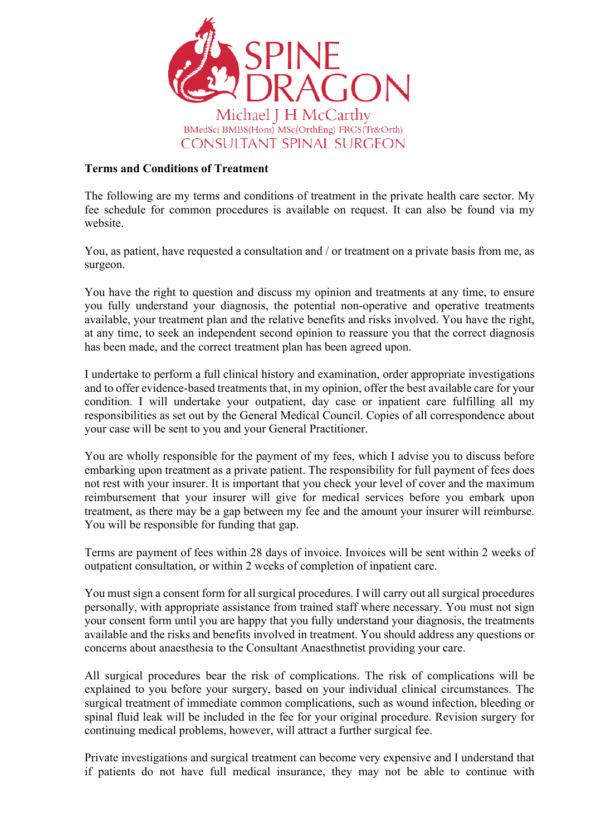

# **Terms and Conditions of Treatment**

The following are my terms and conditions of treatment in the private health care sector. My fee schedule for common procedures is available on request. It can also be found via my website.

You, as patient, have requested a consultation and / or treatment on a private basis from me, as surgeon.

You have the right to question and discuss my opinion and treatments at any time, to ensure you fully understand your diagnosis, the potential non-operative and operative treatments available, your treatment plan and the relative benefits and risks involved. You have the right, at any time, to seek an independent second opinion to reassure you that the correct diagnosis has been made, and the correct treatment plan has been agreed upon.

I undertake to perform a full clinical history and examination, order appropriate investigations and to offer evidence-based treatments that, in my opinion, offer the best available care for your condition. I will undertake your outpatient, day case or inpatient care fulfilling all my responsibilities as set out by the General Medical Council. Copies of all correspondence about your case will be sent to you and your General Practitioner.

You are wholly responsible for the payment of my fees, which I advise you to discuss before embarking upon treatment as a private patient. The responsibility for full payment of fees does not rest with your insurer. It is important that you check your level of cover and the maximum reimbursement that your insurer will give for medical services before you embark upon treatment, as there may be a gap between my fee and the amount your insurer will reimburse. You will be responsible for funding that gap.

Terms are payment of fees within 28 days of invoice. Invoices will be sent within 2 weeks of outpatient consultation, or within 2 weeks of completion of inpatient care.

You must sign a consent form for all surgical procedures. I will carry out all surgical procedures personally, with appropriate assistance from trained staff where necessary. You must not sign your consent form until you are happy that you fully understand your diagnosis, the treatments available and the risks and benefits involved in treatment. You should address any questions or concerns about anaesthesia to the Consultant Anaesthnetist providing your care.

All surgical procedures bear the risk of complications. The risk of complications will be explained to you before your surgery, based on your individual clinical circumstances. The surgical treatment of immediate common complications, such as wound infection, bleeding or spinal fluid leak will be included in the fee for your original procedure. Revision surgery for continuing medical problems, however, will attract a further surgical fee.

Private investigations and surgical treatment can become very expensive and I understand that if patients do not have full medical insurance, they may not be able to continue with